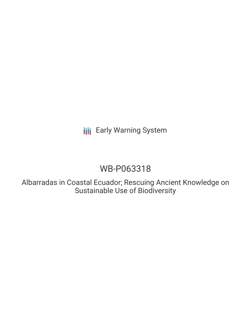## **III** Early Warning System

# WB-P063318

Albarradas in Coastal Ecuador; Rescuing Ancient Knowledge on Sustainable Use of Biodiversity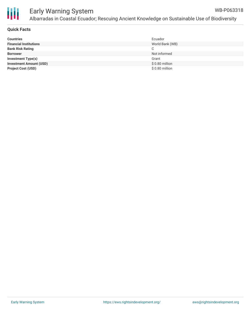

### **Quick Facts**

| <b>Countries</b>               | Ecuador         |
|--------------------------------|-----------------|
| <b>Financial Institutions</b>  | World Bank (WB) |
| <b>Bank Risk Rating</b>        | С               |
| <b>Borrower</b>                | Not informed    |
| <b>Investment Type(s)</b>      | Grant           |
| <b>Investment Amount (USD)</b> | $$0.80$ million |
| <b>Project Cost (USD)</b>      | \$0.80 million  |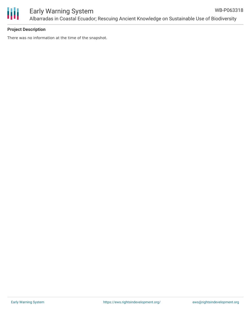

#### **Project Description**

There was no information at the time of the snapshot.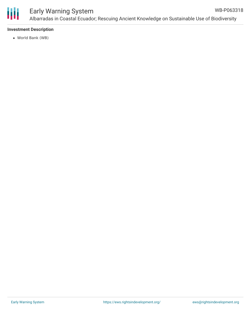

#### Early Warning System Albarradas in Coastal Ecuador; Rescuing Ancient Knowledge on Sustainable Use of Biodiversity WB-P063318

#### **Investment Description**

World Bank (WB)